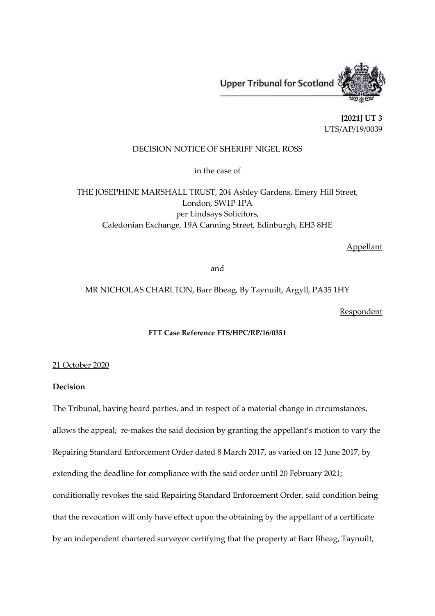

**[2021] UT 3** UTS/AP/19/0039

## DECISION NOTICE OF SHERIFF NIGEL ROSS

in the case of

THE JOSEPHINE MARSHALL TRUST, 204 Ashley Gardens, Emery Hill Street, London, SW1P 1PA per Lindsays Solicitors, Caledonian Exchange, 19A Canning Street, Edinburgh, EH3 8HE

Appellant

and

MR NICHOLAS CHARLTON, Barr Bheag, By Taynuilt, Argyll, PA35 1HY

Respondent

## **FTT Case Reference FTS/HPC/RP/16/0351**

21 October 2020

## **Decision**

The Tribunal, having heard parties, and in respect of a material change in circumstances, allows the appeal; re-makes the said decision by granting the appellant's motion to vary the Repairing Standard Enforcement Order dated 8 March 2017, as varied on 12 June 2017, by extending the deadline for compliance with the said order until 20 February 2021; conditionally revokes the said Repairing Standard Enforcement Order, said condition being that the revocation will only have effect upon the obtaining by the appellant of a certificate by an independent chartered surveyor certifying that the property at Barr Bheag, Taynuilt,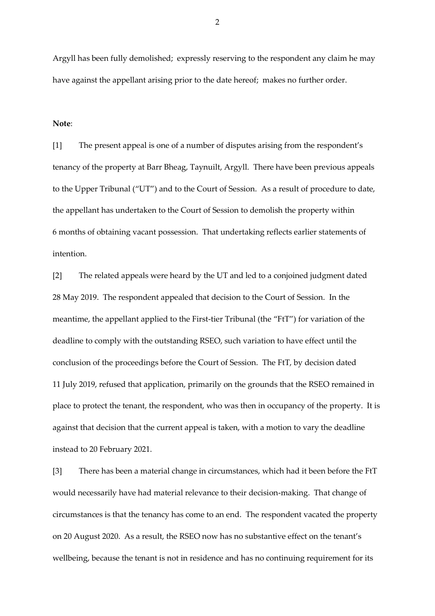Argyll has been fully demolished; expressly reserving to the respondent any claim he may have against the appellant arising prior to the date hereof; makes no further order.

**Note**:

[1] The present appeal is one of a number of disputes arising from the respondent's tenancy of the property at Barr Bheag, Taynuilt, Argyll. There have been previous appeals to the Upper Tribunal ("UT") and to the Court of Session. As a result of procedure to date, the appellant has undertaken to the Court of Session to demolish the property within 6 months of obtaining vacant possession. That undertaking reflects earlier statements of intention.

[2] The related appeals were heard by the UT and led to a conjoined judgment dated 28 May 2019. The respondent appealed that decision to the Court of Session. In the meantime, the appellant applied to the First-tier Tribunal (the "FtT") for variation of the deadline to comply with the outstanding RSEO, such variation to have effect until the conclusion of the proceedings before the Court of Session. The FtT, by decision dated 11 July 2019, refused that application, primarily on the grounds that the RSEO remained in place to protect the tenant, the respondent, who was then in occupancy of the property. It is against that decision that the current appeal is taken, with a motion to vary the deadline instead to 20 February 2021.

[3] There has been a material change in circumstances, which had it been before the FtT would necessarily have had material relevance to their decision-making. That change of circumstances is that the tenancy has come to an end. The respondent vacated the property on 20 August 2020. As a result, the RSEO now has no substantive effect on the tenant's wellbeing, because the tenant is not in residence and has no continuing requirement for its

2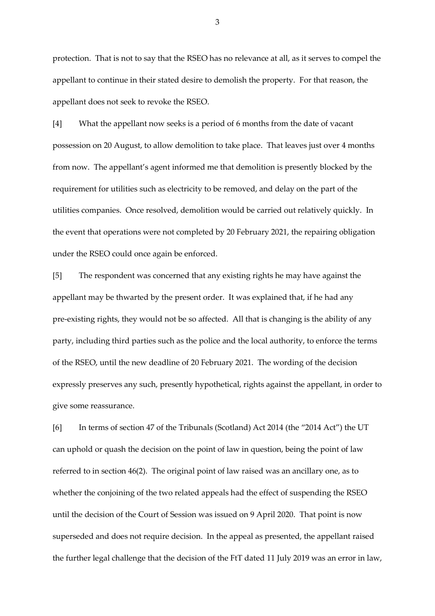protection. That is not to say that the RSEO has no relevance at all, as it serves to compel the appellant to continue in their stated desire to demolish the property. For that reason, the appellant does not seek to revoke the RSEO.

[4] What the appellant now seeks is a period of 6 months from the date of vacant possession on 20 August, to allow demolition to take place. That leaves just over 4 months from now. The appellant's agent informed me that demolition is presently blocked by the requirement for utilities such as electricity to be removed, and delay on the part of the utilities companies. Once resolved, demolition would be carried out relatively quickly. In the event that operations were not completed by 20 February 2021, the repairing obligation under the RSEO could once again be enforced.

[5] The respondent was concerned that any existing rights he may have against the appellant may be thwarted by the present order. It was explained that, if he had any pre-existing rights, they would not be so affected. All that is changing is the ability of any party, including third parties such as the police and the local authority, to enforce the terms of the RSEO, until the new deadline of 20 February 2021. The wording of the decision expressly preserves any such, presently hypothetical, rights against the appellant, in order to give some reassurance.

[6] In terms of section 47 of the Tribunals (Scotland) Act 2014 (the "2014 Act") the UT can uphold or quash the decision on the point of law in question, being the point of law referred to in section 46(2). The original point of law raised was an ancillary one, as to whether the conjoining of the two related appeals had the effect of suspending the RSEO until the decision of the Court of Session was issued on 9 April 2020. That point is now superseded and does not require decision. In the appeal as presented, the appellant raised the further legal challenge that the decision of the FtT dated 11 July 2019 was an error in law,

3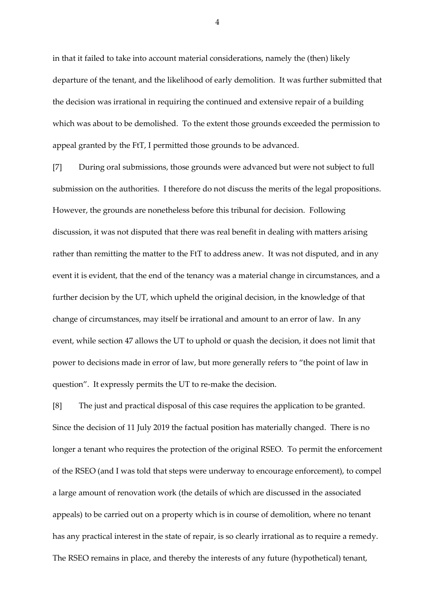in that it failed to take into account material considerations, namely the (then) likely departure of the tenant, and the likelihood of early demolition. It was further submitted that the decision was irrational in requiring the continued and extensive repair of a building which was about to be demolished. To the extent those grounds exceeded the permission to appeal granted by the FtT, I permitted those grounds to be advanced.

[7] During oral submissions, those grounds were advanced but were not subject to full submission on the authorities. I therefore do not discuss the merits of the legal propositions. However, the grounds are nonetheless before this tribunal for decision. Following discussion, it was not disputed that there was real benefit in dealing with matters arising rather than remitting the matter to the FtT to address anew. It was not disputed, and in any event it is evident, that the end of the tenancy was a material change in circumstances, and a further decision by the UT, which upheld the original decision, in the knowledge of that change of circumstances, may itself be irrational and amount to an error of law. In any event, while section 47 allows the UT to uphold or quash the decision, it does not limit that power to decisions made in error of law, but more generally refers to "the point of law in question". It expressly permits the UT to re-make the decision.

[8] The just and practical disposal of this case requires the application to be granted. Since the decision of 11 July 2019 the factual position has materially changed. There is no longer a tenant who requires the protection of the original RSEO. To permit the enforcement of the RSEO (and I was told that steps were underway to encourage enforcement), to compel a large amount of renovation work (the details of which are discussed in the associated appeals) to be carried out on a property which is in course of demolition, where no tenant has any practical interest in the state of repair, is so clearly irrational as to require a remedy. The RSEO remains in place, and thereby the interests of any future (hypothetical) tenant,

4